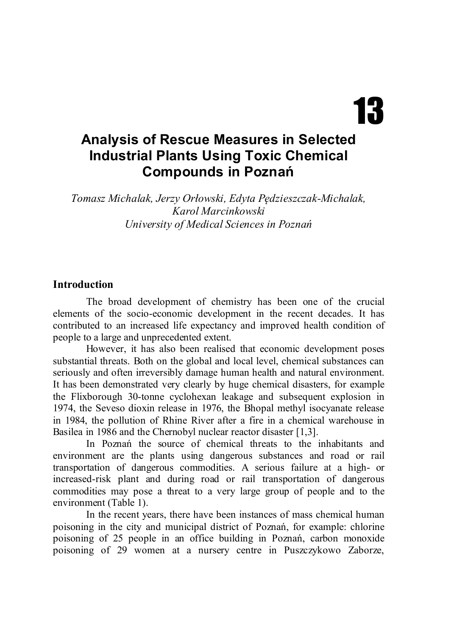# 13

# **Analysis of Rescue Measures in Selected Industrial Plants Using Toxic Chemical Compounds in Poznań**

*Tomasz Michalak, Jerzy Orłowski, Edyta Pędzieszczak-Michalak, Karol Marcinkowski University of Medical Sciences in Poznań*

#### **Introduction**

The broad development of chemistry has been one of the crucial elements of the socio-economic development in the recent decades. It has contributed to an increased life expectancy and improved health condition of people to a large and unprecedented extent.

However, it has also been realised that economic development poses substantial threats. Both on the global and local level, chemical substances can seriously and often irreversibly damage human health and natural environment. It has been demonstrated very clearly by huge chemical disasters, for example the Flixborough 30-tonne cyclohexan leakage and subsequent explosion in 1974, the Seveso dioxin release in 1976, the Bhopal methyl isocyanate release in 1984, the pollution of Rhine River after a fire in a chemical warehouse in Basilea in 1986 and the Chernobyl nuclear reactor disaster [1,3].

In Poznań the source of chemical threats to the inhabitants and environment are the plants using dangerous substances and road or rail transportation of dangerous commodities. A serious failure at a high- or increased-risk plant and during road or rail transportation of dangerous commodities may pose a threat to a very large group of people and to the environment (Table 1).

In the recent years, there have been instances of mass chemical human poisoning in the city and municipal district of Poznań, for example: chlorine poisoning of 25 people in an office building in Poznań, carbon monoxide poisoning of 29 women at a nursery centre in Puszczykowo Zaborze,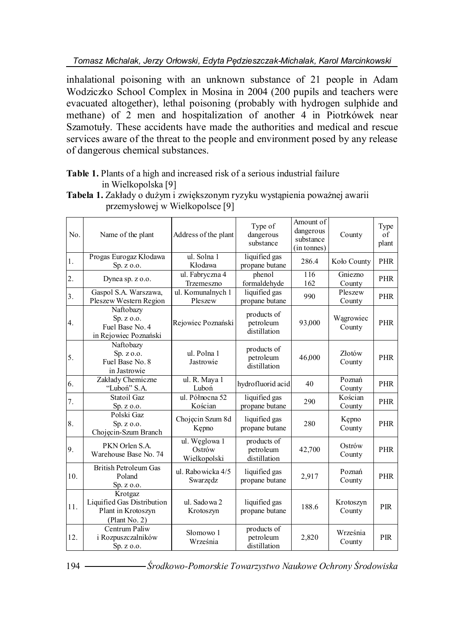*Tomasz Michalak, Jerzy Orłowski, Edyta Pędzieszczak-Michalak, Karol Marcinkowski*

inhalational poisoning with an unknown substance of 21 people in Adam Wodziczko School Complex in Mosina in 2004 (200 pupils and teachers were evacuated altogether), lethal poisoning (probably with hydrogen sulphide and methane) of 2 men and hospitalization of another 4 in Piotrkówek near Szamotuły. These accidents have made the authorities and medical and rescue services aware of the threat to the people and environment posed by any release of dangerous chemical substances.

#### **Table 1.** Plants of a high and increased risk of a serious industrial failure in Wielkopolska [9]

| No.              | Name of the plant                                                            | Address of the plant                    | Type of<br>dangerous<br>substance        | Amount of<br>dangerous<br>substance<br>(in tonnes) | County              | Type<br>of<br>plant |
|------------------|------------------------------------------------------------------------------|-----------------------------------------|------------------------------------------|----------------------------------------------------|---------------------|---------------------|
| 1.               | Progas Eurogaz Kłodawa<br>Sp. z o.o.                                         | ul. Solna 1<br>Kłodawa                  | liquified gas<br>propane butane          | 286.4                                              | Koło County         | <b>PHR</b>          |
| $\overline{2}$ . | Dynea sp. z o.o.                                                             | ul. Fabryczna 4<br>Trzemeszno           | phenol<br>formaldehyde                   | $\overline{116}$<br>162                            | Gniezno<br>County   | <b>PHR</b>          |
| 3 <sub>1</sub>   | Gaspol S.A. Warszawa,<br>Pleszew Western Region                              | ul. Komunalnych 1<br>Pleszew            | liquified gas<br>propane butane          | 990                                                | Pleszew<br>County   | PHR                 |
| 4.               | Naftobazy<br>Sp. z o.o.<br>Fuel Base No. 4<br>in Rejowiec Poznański          | Rejowiec Poznański                      | products of<br>petroleum<br>distillation | 93,000                                             | Wągrowiec<br>County | <b>PHR</b>          |
| 5.               | Naftobazy<br>Sp. z o.o.<br>Fuel Base No. 8<br>in Jastrowie                   | ul. Polna 1<br>Jastrowie                | products of<br>petroleum<br>distillation | 46,000                                             | Złotów<br>County    | <b>PHR</b>          |
| 6.               | Zakłady Chemiczne<br>"Luboń" S.A.                                            | ul. R. Maya 1<br>Luboń                  | hydrofluorid acid                        | 40                                                 | Poznań<br>County    | <b>PHR</b>          |
| 7.               | Statoil Gaz<br>Sp. z o.o.                                                    | ul. Północna 52<br>Kościan              | liquified gas<br>propane butane          | 290                                                | Kościan<br>County   | <b>PHR</b>          |
| 8.               | Polski Gaz<br>Sp. z o.o.<br>Chojęcin-Szum Branch                             | Chojęcin Szum 8d<br>Kepno               | liquified gas<br>propane butane          | 280                                                | Kępno<br>County     | PHR                 |
| 9.               | PKN Orlen S.A.<br>Warehouse Base No. 74                                      | ul. Węglowa 1<br>Ostrów<br>Wielkopolski | products of<br>petroleum<br>distillation | 42,700                                             | Ostrów<br>County    | PHR                 |
| 10.              | <b>British Petroleum Gas</b><br>Poland<br>Sp. z o.o.                         | ul. Rabo wicka 4/5<br>Swarzędz          | liquified gas<br>propane butane          | 2,917                                              | Poznań<br>County    | <b>PHR</b>          |
| 11.              | Krotgaz<br>Liquified Gas Distribution<br>Plant in Krotoszyn<br>(Plant No. 2) | ul. Sado wa 2<br>Krotoszyn              | liquified gas<br>propane butane          | 188.6                                              | Krotoszyn<br>County | <b>PIR</b>          |
| 12.              | Centrum Paliw<br>i Rozpuszczalników<br>Sp. z. 0.0.                           | Słomowo 1<br>Września                   | products of<br>petroleum<br>distillation | 2,820                                              | Września<br>County  | <b>PIR</b>          |

**Tabela 1.** Zakłady o dużym i zwiększonym ryzyku wystąpienia poważnej awarii przemysłowej w Wielkopolsce [9]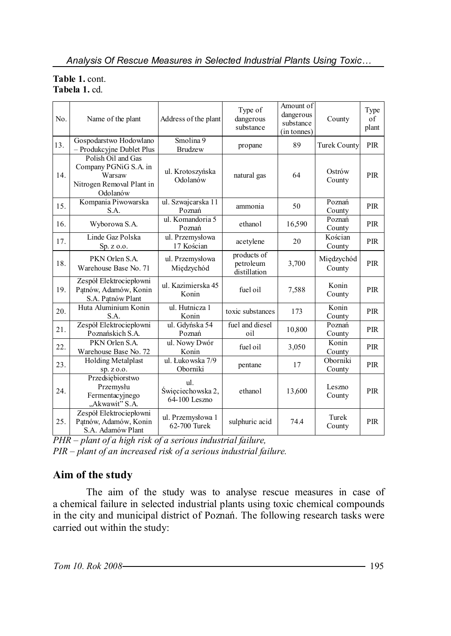#### **Table 1.** cont. **Tabela 1.** cd.

| No. | Name of the plant                                                                              | Address of the plant                      | Type of<br>dangerous<br>substance        | Amount of<br>dangerous<br>substance<br>(in tonnes) | County               | Type<br>of<br>plant |
|-----|------------------------------------------------------------------------------------------------|-------------------------------------------|------------------------------------------|----------------------------------------------------|----------------------|---------------------|
| 13. | Gospodarstwo Hodowlano<br>- Produkcyjne Dublet Plus                                            | Smolina 9<br><b>Brudzew</b>               | propane                                  | 89                                                 | <b>Turek County</b>  | PIR                 |
| 14. | Polish Oil and Gas<br>Company PGNiG S.A. in<br>Warsaw<br>Nitrogen Removal Plant in<br>Odolanów | ul. Krotoszyńska<br>Odolanów              | natural gas                              | 64                                                 | Ostrów<br>County     | <b>PIR</b>          |
| 15. | Kompania Piwowarska<br>S.A.                                                                    | ul. Szwajcarska 11<br>Poznań              | ammonia                                  | 50                                                 | Poznań<br>County     | PIR                 |
| 16. | Wyborowa S.A.                                                                                  | ul. Komandoria 5<br>Poznań                | ethanol                                  | 16,590                                             | Poznań<br>County     | PIR                 |
| 17. | Linde Gaz Polska<br>Sp. z o.o.                                                                 | ul. Przemysłowa<br>17 Kościan             | acetylene                                | 20                                                 | Kościan<br>County    | PIR                 |
| 18. | PKN Orlen S.A.<br>Warehouse Base No. 71                                                        | ul. Przemysłowa<br>Międzychód             | products of<br>petroleum<br>distillation | 3,700                                              | Międzychód<br>County | PIR                 |
| 19. | Zespół Elektrociepłowni<br>Patnów, Adamów, Konin<br>S.A. Patnów Plant                          | ul. Kazimierska 45<br>Konin               | fuel oil                                 | 7,588                                              | Konin<br>County      | PIR                 |
| 20. | Huta Aluminium Konin<br>S.A.                                                                   | ul. Hutnicza 1<br>Konin                   | toxic substances                         | 173                                                | Konin<br>County      | <b>PIR</b>          |
| 21. | Zespół Elektrociepłowni<br>Poznańskich S.A.                                                    | ul. Gdyńska 54<br>Poznań                  | fuel and diesel<br>oil                   | 10,800                                             | Poznań<br>County     | <b>PIR</b>          |
| 22. | PKN Orlen S.A.<br>Warehouse Base No. 72                                                        | ul. Nowy Dwór<br>Konin                    | fuel oil                                 | 3,050                                              | Konin<br>County      | <b>PIR</b>          |
| 23. | <b>Holding Metalplast</b><br>sp. z o.o.                                                        | ul. Łuko wska 7/9<br>Oborniki             | pentane                                  | 17                                                 | Oborniki<br>County   | PIR                 |
| 24. | Przedsiębiorstwo<br>Przemysłu<br>Fermentacyjnego<br>"Akwawit" S.A.                             | ul.<br>Święciechowska 2,<br>64-100 Leszno | ethanol                                  | 13,600                                             | Leszno<br>County     | PIR                 |
| 25. | Zespół Elektrociepłowni<br>Patnów, Adamów, Konin<br>S.A. Adamów Plant                          | ul. Przemysłowa 1<br>62-700 Turek         | sulphuric acid                           | 74.4                                               | Turek<br>County      | <b>PIR</b>          |

*PHR – plant of a high risk of a serious industrial failure,*

*PIR – plant of an increased risk of a serious industrial failure.*

## **Aim of the study**

The aim of the study was to analyse rescue measures in case of a chemical failure in selected industrial plants using toxic chemical compounds in the city and municipal district of Poznań. The following research tasks were carried out within the study: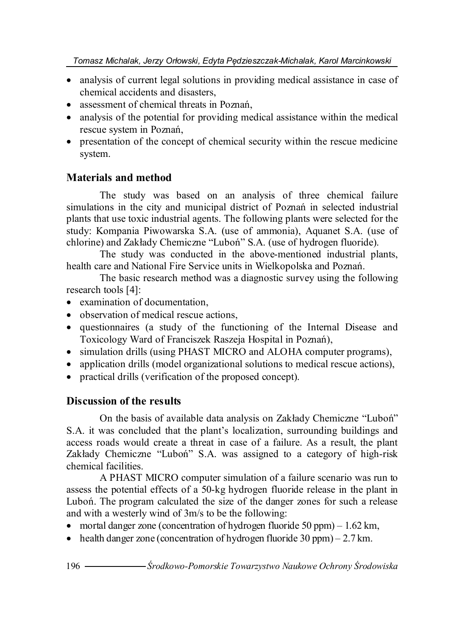- analysis of current legal solutions in providing medical assistance in case of chemical accidents and disasters,
- assessment of chemical threats in Poznań.
- analysis of the potential for providing medical assistance within the medical rescue system in Poznań,
- presentation of the concept of chemical security within the rescue medicine system.

#### **Materials and method**

The study was based on an analysis of three chemical failure simulations in the city and municipal district of Poznań in selected industrial plants that use toxic industrial agents. The following plants were selected for the study: Kompania Piwowarska S.A. (use of ammonia), Aquanet S.A. (use of chlorine) and Zakłady Chemiczne "Luboń" S.A. (use of hydrogen fluoride).

The study was conducted in the above-mentioned industrial plants, health care and National Fire Service units in Wielkopolska and Poznań.

The basic research method was a diagnostic survey using the following research tools [4]:

- examination of documentation,
- observation of medical rescue actions,
- questionnaires (a study of the functioning of the Internal Disease and Toxicology Ward of Franciszek Raszeja Hospital in Poznań),
- simulation drills (using PHAST MICRO and ALOHA computer programs),
- application drills (model organizational solutions to medical rescue actions),
- practical drills (verification of the proposed concept).

## **Discussion of the results**

On the basis of available data analysis on Zakłady Chemiczne "Luboń" S.A. it was concluded that the plant's localization, surrounding buildings and access roads would create a threat in case of a failure. As a result, the plant Zakłady Chemiczne "Luboń" S.A. was assigned to a category of high-risk chemical facilities.

A PHAST MICRO computer simulation of a failure scenario was run to assess the potential effects of a 50-kg hydrogen fluoride release in the plant in Luboń. The program calculated the size of the danger zones for such a release and with a westerly wind of 3m/s to be the following:

- mortal danger zone (concentration of hydrogen fluoride 50 ppm)  $-1.62 \text{ km}$ ,
- health danger zone (concentration of hydrogen fluoride  $30$  ppm)  $2.7$  km.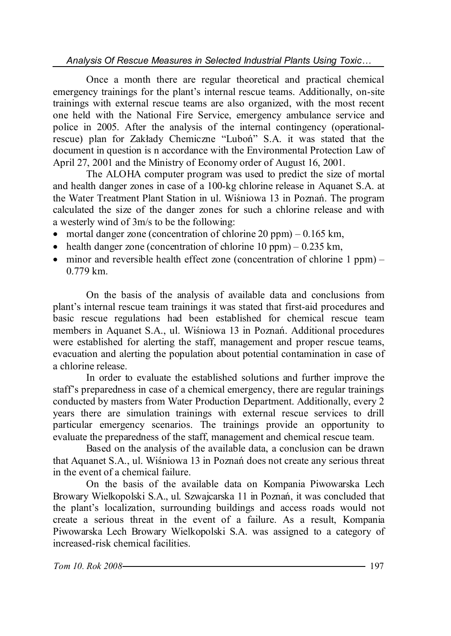*Analysis Of Rescue Measures in Selected Industrial Plants Using Toxic…*

Once a month there are regular theoretical and practical chemical emergency trainings for the plant's internal rescue teams. Additionally, on-site trainings with external rescue teams are also organized, with the most recent one held with the National Fire Service, emergency ambulance service and police in 2005. After the analysis of the internal contingency (operationalrescue) plan for Zakłady Chemiczne "Luboń" S.A. it was stated that the document in question is n accordance with the Environmental Protection Law of April 27, 2001 and the Ministry of Economy order of August 16, 2001.

The ALOHA computer program was used to predict the size of mortal and health danger zones in case of a 100-kg chlorine release in Aquanet S.A. at the Water Treatment Plant Station in ul. Wiśniowa 13 in Poznań. The program calculated the size of the danger zones for such a chlorine release and with a westerly wind of 3m/s to be the following:

- mortal danger zone (concentration of chlorine  $20$  ppm) 0.165 km,
- health danger zone (concentration of chlorine  $10$  ppm) 0.235 km,
- minor and reversible health effect zone (concentration of chlorine 1 ppm) 0.779 km.

On the basis of the analysis of available data and conclusions from plant's internal rescue team trainings it was stated that first-aid procedures and basic rescue regulations had been established for chemical rescue team members in Aquanet S.A., ul. Wiśniowa 13 in Poznań. Additional procedures were established for alerting the staff, management and proper rescue teams, evacuation and alerting the population about potential contamination in case of a chlorine release.

In order to evaluate the established solutions and further improve the staff's preparedness in case of a chemical emergency, there are regular trainings conducted by masters from Water Production Department. Additionally, every 2 years there are simulation trainings with external rescue services to drill particular emergency scenarios. The trainings provide an opportunity to evaluate the preparedness of the staff, management and chemical rescue team.

Based on the analysis of the available data, a conclusion can be drawn that Aquanet S.A., ul. Wiśniowa 13 in Poznań does not create any serious threat in the event of a chemical failure.

On the basis of the available data on Kompania Piwowarska Lech Browary Wielkopolski S.A., ul. Szwajcarska 11 in Poznań, it was concluded that the plant's localization, surrounding buildings and access roads would not create a serious threat in the event of a failure. As a result, Kompania Piwowarska Lech Browary Wielkopolski S.A. was assigned to a category of increased-risk chemical facilities.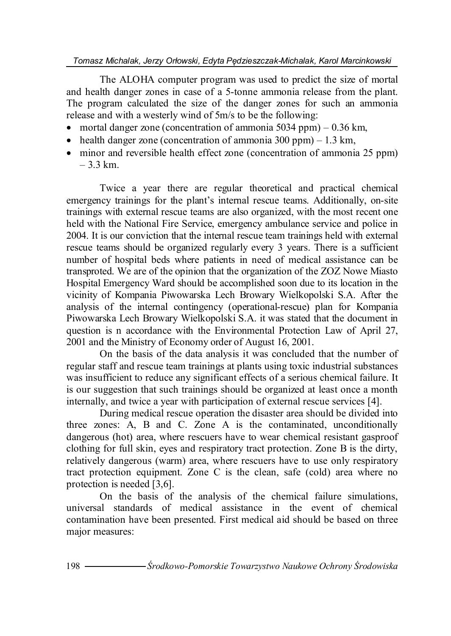The ALOHA computer program was used to predict the size of mortal and health danger zones in case of a 5-tonne ammonia release from the plant. The program calculated the size of the danger zones for such an ammonia release and with a westerly wind of 5m/s to be the following:

- mortal danger zone (concentration of ammonia 5034 ppm)  $-0.36$  km,
- health danger zone (concentration of ammonia 300 ppm)  $-1.3 \text{ km}$ ,
- minor and reversible health effect zone (concentration of ammonia 25 ppm)  $-3.3$  km.

Twice a year there are regular theoretical and practical chemical emergency trainings for the plant's internal rescue teams. Additionally, on-site trainings with external rescue teams are also organized, with the most recent one held with the National Fire Service, emergency ambulance service and police in 2004. It is our conviction that the internal rescue team trainings held with external rescue teams should be organized regularly every 3 years. There is a sufficient number of hospital beds where patients in need of medical assistance can be transproted. We are of the opinion that the organization of the ZOZ Nowe Miasto Hospital Emergency Ward should be accomplished soon due to its location in the vicinity of Kompania Piwowarska Lech Browary Wielkopolski S.A. After the analysis of the internal contingency (operational-rescue) plan for Kompania Piwowarska Lech Browary Wielkopolski S.A. it was stated that the document in question is n accordance with the Environmental Protection Law of April 27, 2001 and the Ministry of Economy order of August 16, 2001.

On the basis of the data analysis it was concluded that the number of regular staff and rescue team trainings at plants using toxic industrial substances was insufficient to reduce any significant effects of a serious chemical failure. It is our suggestion that such trainings should be organized at least once a month internally, and twice a year with participation of external rescue services [4].

During medical rescue operation the disaster area should be divided into three zones: A, B and C. Zone A is the contaminated, unconditionally dangerous (hot) area, where rescuers have to wear chemical resistant gasproof clothing for full skin, eyes and respiratory tract protection. Zone B is the dirty, relatively dangerous (warm) area, where rescuers have to use only respiratory tract protection equipment. Zone C is the clean, safe (cold) area where no protection is needed [3,6].

On the basis of the analysis of the chemical failure simulations, universal standards of medical assistance in the event of chemical contamination have been presented. First medical aid should be based on three major measures: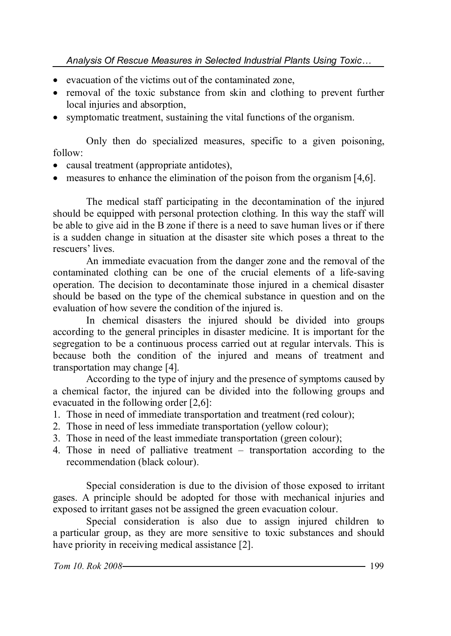- evacuation of the victims out of the contaminated zone,
- removal of the toxic substance from skin and clothing to prevent further local injuries and absorption,
- symptomatic treatment, sustaining the vital functions of the organism.

Only then do specialized measures, specific to a given poisoning, follow:

- causal treatment (appropriate antidotes),
- measures to enhance the elimination of the poison from the organism [4,6].

The medical staff participating in the decontamination of the injured should be equipped with personal protection clothing. In this way the staff will be able to give aid in the B zone if there is a need to save human lives or if there is a sudden change in situation at the disaster site which poses a threat to the rescuers' lives.

An immediate evacuation from the danger zone and the removal of the contaminated clothing can be one of the crucial elements of a life-saving operation. The decision to decontaminate those injured in a chemical disaster should be based on the type of the chemical substance in question and on the evaluation of how severe the condition of the injured is.

In chemical disasters the injured should be divided into groups according to the general principles in disaster medicine. It is important for the segregation to be a continuous process carried out at regular intervals. This is because both the condition of the injured and means of treatment and transportation may change [4].

According to the type of injury and the presence of symptoms caused by a chemical factor, the injured can be divided into the following groups and evacuated in the following order [2,6]:

- 1. Those in need of immediate transportation and treatment (red colour);
- 2. Those in need of less immediate transportation (yellow colour);
- 3. Those in need of the least immediate transportation (green colour);
- 4. Those in need of palliative treatment transportation according to the recommendation (black colour).

Special consideration is due to the division of those exposed to irritant gases. A principle should be adopted for those with mechanical injuries and exposed to irritant gases not be assigned the green evacuation colour.

Special consideration is also due to assign injured children to a particular group, as they are more sensitive to toxic substances and should have priority in receiving medical assistance [2].

*Tom 10. Rok 2008* 1999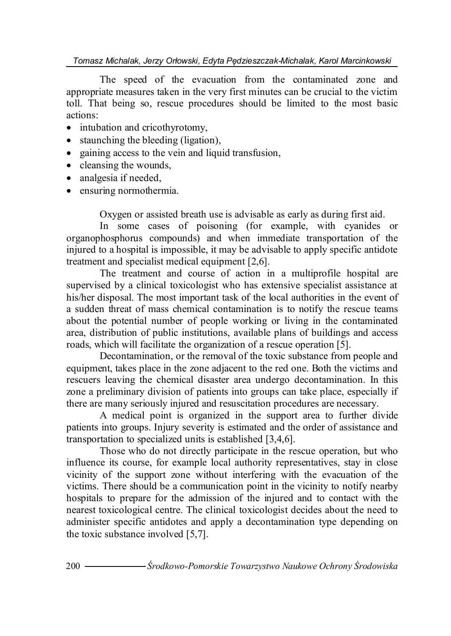The speed of the evacuation from the contaminated zone and appropriate measures taken in the very first minutes can be crucial to the victim toll. That being so, rescue procedures should be limited to the most basic actions:

- intubation and cricothyrotomy,
- staunching the bleeding (ligation),
- gaining access to the vein and liquid transfusion,
- cleansing the wounds,
- analgesia if needed,
- ensuring normothermia.

Oxygen or assisted breath use is advisable as early as during first aid.

In some cases of poisoning (for example, with cyanides or organophosphorus compounds) and when immediate transportation of the injured to a hospital is impossible, it may be advisable to apply specific antidote treatment and specialist medical equipment [2,6].

The treatment and course of action in a multiprofile hospital are supervised by a clinical toxicologist who has extensive specialist assistance at his/her disposal. The most important task of the local authorities in the event of a sudden threat of mass chemical contamination is to notify the rescue teams about the potential number of people working or living in the contaminated area, distribution of public institutions, available plans of buildings and access roads, which will facilitate the organization of a rescue operation [5].

Decontamination, or the removal of the toxic substance from people and equipment, takes place in the zone adjacent to the red one. Both the victims and rescuers leaving the chemical disaster area undergo decontamination. In this zone a preliminary division of patients into groups can take place, especially if there are many seriously injured and resuscitation procedures are necessary.

A medical point is organized in the support area to further divide patients into groups. Injury severity is estimated and the order of assistance and transportation to specialized units is established [3,4,6].

Those who do not directly participate in the rescue operation, but who influence its course, for example local authority representatives, stay in close vicinity of the support zone without interfering with the evacuation of the victims. There should be a communication point in the vicinity to notify nearby hospitals to prepare for the admission of the injured and to contact with the nearest toxicological centre. The clinical toxicologist decides about the need to administer specific antidotes and apply a decontamination type depending on the toxic substance involved [5,7].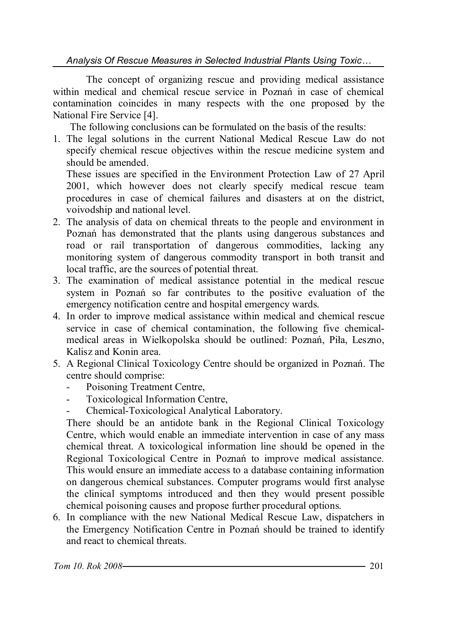*Analysis Of Rescue Measures in Selected Industrial Plants Using Toxic…*

The concept of organizing rescue and providing medical assistance within medical and chemical rescue service in Poznań in case of chemical contamination coincides in many respects with the one proposed by the National Fire Service [4].

The following conclusions can be formulated on the basis of the results:

1. The legal solutions in the current National Medical Rescue Law do not specify chemical rescue objectives within the rescue medicine system and should be amended.

These issues are specified in the Environment Protection Law of 27 April 2001, which however does not clearly specify medical rescue team procedures in case of chemical failures and disasters at on the district, voivodship and national level.

- 2. The analysis of data on chemical threats to the people and environment in Poznań has demonstrated that the plants using dangerous substances and road or rail transportation of dangerous commodities, lacking any monitoring system of dangerous commodity transport in both transit and local traffic, are the sources of potential threat.
- 3. The examination of medical assistance potential in the medical rescue system in Poznań so far contributes to the positive evaluation of the emergency notification centre and hospital emergency wards.
- 4. In order to improve medical assistance within medical and chemical rescue service in case of chemical contamination, the following five chemicalmedical areas in Wielkopolska should be outlined: Poznań, Piła, Leszno, Kalisz and Konin area.
- 5. A Regional Clinical Toxicology Centre should be organized in Poznań. The centre should comprise:
	- Poisoning Treatment Centre,
	- Toxicological Information Centre,
	- Chemical-Toxicological Analytical Laboratory.

There should be an antidote bank in the Regional Clinical Toxicology Centre, which would enable an immediate intervention in case of any mass chemical threat. A toxicological information line should be opened in the Regional Toxicological Centre in Poznań to improve medical assistance. This would ensure an immediate access to a database containing information on dangerous chemical substances. Computer programs would first analyse the clinical symptoms introduced and then they would present possible chemical poisoning causes and propose further procedural options.

6. In compliance with the new National Medical Rescue Law, dispatchers in the Emergency Notification Centre in Poznań should be trained to identify and react to chemical threats.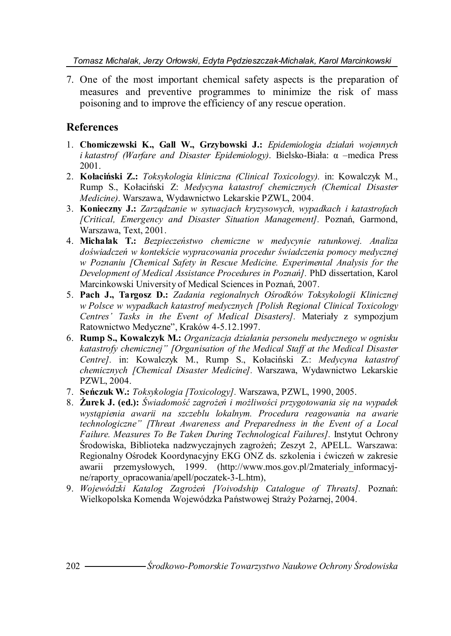*Tomasz Michalak, Jerzy Orłowski, Edyta Pędzieszczak-Michalak, Karol Marcinkowski*

7. One of the most important chemical safety aspects is the preparation of measures and preventive programmes to minimize the risk of mass poisoning and to improve the efficiency of any rescue operation.

### **References**

- 1. **Chomiczewski K., Gall W., Grzybowski J.:** *Epidemiologia działań wojennych i katastrof (Warfare and Disaster Epidemiology)*. Bielsko-Biała: α –medica Press 2001.
- 2. **Kołaciński Z.:** *Toksykologia kliniczna (Clinical Toxicology).* in: Kowalczyk M., Rump S., Kołaciński Z: *Medycyna katastrof chemicznych (Chemical Disaster Medicine)*. Warszawa, Wydawnictwo Lekarskie PZWL, 2004.
- 3. **Konieczny J.:** *Zarządzanie w sytuacjach kryzysowych, wypadkach i katastrofach [Critical, Emergency and Disaster Situation Management].* Poznań, Garmond, Warszawa, Text, 2001.
- 4. **Michalak T.:** *Bezpieczeństwo chemiczne w medycynie ratunkowej. Analiza doświadczeń w kontekście wypracowania procedur świadczenia pomocy medycznej w Poznaniu [Chemical Safety in Rescue Medicine. Experimental Analysis for the Development of Medical Assistance Procedures in Poznań].* PhD dissertation, Karol Marcinkowski University of Medical Sciences in Poznań, 2007.
- 5. **Pach J., Targosz D.:** *Zadania regionalnych Ośrodków Toksykologii Klinicznej w Polsce w wypadkach katastrof medycznych [Polish Regional Clinical Toxicology Centres' Tasks in the Event of Medical Disasters].* Materiały z sympozjum Ratownictwo Medyczne", Kraków 4-5.12.1997.
- 6. **Rump S., Kowalczyk M.:** *Organizacja działania personelu medycznego w ognisku katastrofy chemicznej" [Organisation of the Medical Staff at the Medical Disaster Centre].* in: Kowalczyk M., Rump S., Kołaciński Z.: *Medycyna katastrof chemicznych [Chemical Disaster Medicine].* Warszawa, Wydawnictwo Lekarskie PZWL, 2004.
- 7. **Seńczuk W.:** *Toksykologia [Toxicology].* Warszawa, PZWL, 1990, 2005.
- 8. **Żurek J. (ed.):** *Świadomość zagrożeń i możliwości przygotowania się na wypadek wystąpienia awarii na szczeblu lokalnym. Procedura reagowania na awarie technologiczne" [Threat Awareness and Preparedness in the Event of a Local Failure. Measures To Be Taken During Technological Failures].* Instytut Ochrony Środowiska, Biblioteka nadzwyczajnych zagrożeń; Zeszyt 2, APELL. Warszawa: Regionalny Ośrodek Koordynacyjny EKG ONZ ds. szkolenia i ćwiczeń w zakresie awarii przemysłowych, 1999. (http://www.mos.gov.pl/2materialy\_informacyjne/raporty\_opracowania/apell/poczatek-3-L.htm),
- 9. *Wojewódzki Katalog Zagrożeń [Voivodship Catalogue of Threats].* Poznań: Wielkopolska Komenda Wojewódzka Państwowej Straży Pożarnej, 2004.